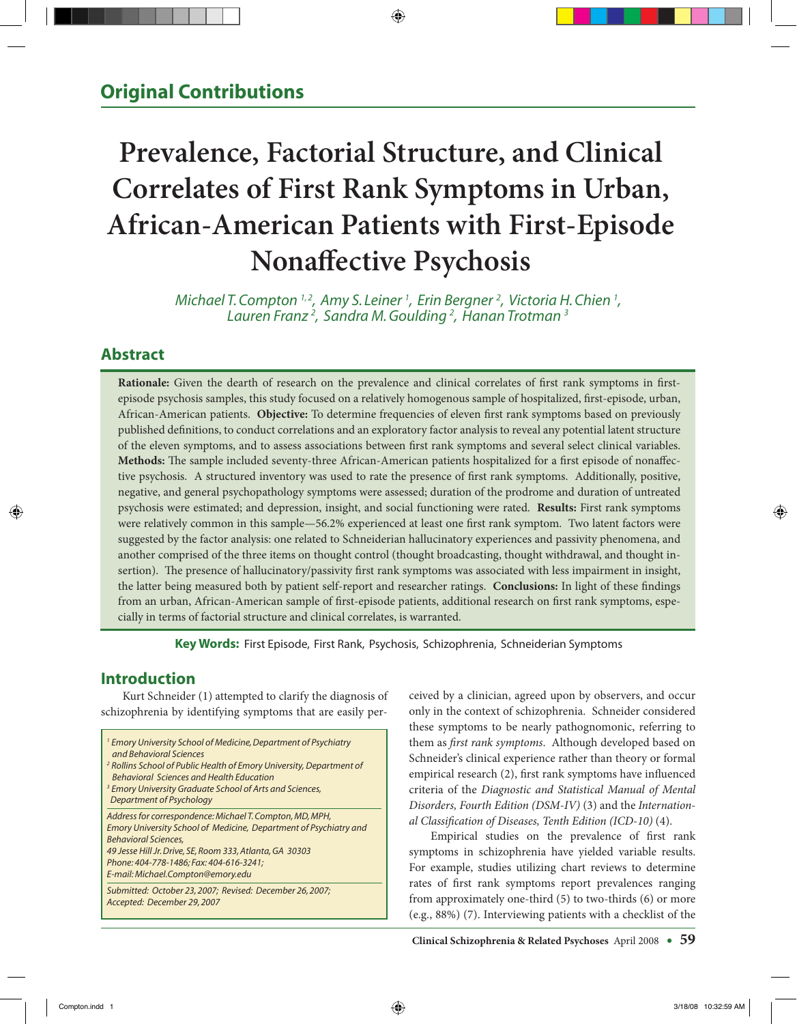# **Prevalence, Factorial Structure, and Clinical Correlates of First Rank Symptoms in Urban, African-American Patients with First-Episode Nonaffective Psychosis**

*Michael T. Compton <sup>1,2</sup>, Amy S. Leiner <sup>1</sup>, Erin Bergner <sup>2</sup>, Victoria H. Chien <sup>1</sup>, Lauren Franz 2 , Sandra M. Goulding 2 , Hanan Trotman 3*

# **Abstract**

**Rationale:** Given the dearth of research on the prevalence and clinical correlates of first rank symptoms in firstepisode psychosis samples, this study focused on a relatively homogenous sample of hospitalized, first-episode, urban, African-American patients. **Objective:** To determine frequencies of eleven first rank symptoms based on previously published definitions, to conduct correlations and an exploratory factor analysis to reveal any potential latent structure of the eleven symptoms, and to assess associations between first rank symptoms and several select clinical variables. **Methods:** The sample included seventy-three African-American patients hospitalized for a first episode of nonaffective psychosis. A structured inventory was used to rate the presence of first rank symptoms. Additionally, positive, negative, and general psychopathology symptoms were assessed; duration of the prodrome and duration of untreated psychosis were estimated; and depression, insight, and social functioning were rated. **Results:** First rank symptoms were relatively common in this sample—56.2% experienced at least one first rank symptom. Two latent factors were suggested by the factor analysis: one related to Schneiderian hallucinatory experiences and passivity phenomena, and another comprised of the three items on thought control (thought broadcasting, thought withdrawal, and thought insertion). The presence of hallucinatory/passivity first rank symptoms was associated with less impairment in insight, the latter being measured both by patient self-report and researcher ratings. **Conclusions:** In light of these findings from an urban, African-American sample of first-episode patients, additional research on first rank symptoms, especially in terms of factorial structure and clinical correlates, is warranted.

**Key Words:** First Episode, First Rank, Psychosis, Schizophrenia, Schneiderian Symptoms

# **Introduction**

 Kurt Schneider (1) attempted to clarify the diagnosis of schizophrenia by identifying symptoms that are easily per-

| <sup>1</sup> Emory University School of Medicine, Department of Psychiatry<br>and Behavioral Sciences<br><sup>2</sup> Rollins School of Public Health of Emory University, Department of<br><b>Behavioral Sciences and Health Education</b><br><sup>3</sup> Emory University Graduate School of Arts and Sciences,<br>Department of Psychology |
|------------------------------------------------------------------------------------------------------------------------------------------------------------------------------------------------------------------------------------------------------------------------------------------------------------------------------------------------|
| Address for correspondence: Michael T. Compton, MD, MPH,<br>Emory University School of Medicine, Department of Psychiatry and<br><b>Behavioral Sciences,</b><br>49 Jesse Hill Jr. Drive, SE, Room 333, Atlanta, GA 30303<br>Phone: 404-778-1486; Fax: 404-616-3241;<br>E-mail: Michael.Compton@emory.edu                                       |
| Submitted: October 23, 2007; Revised: December 26, 2007;<br>Accepted: December 29, 2007                                                                                                                                                                                                                                                        |

ceived by a clinician, agreed upon by observers, and occur only in the context of schizophrenia. Schneider considered these symptoms to be nearly pathognomonic, referring to them as *first rank symptoms*. Although developed based on Schneider's clinical experience rather than theory or formal empirical research (2), first rank symptoms have influenced criteria of the *Diagnostic and Statistical Manual of Mental Disorders, Fourth Edition (DSM-IV)* (3) and the *International Classification of Diseases, Tenth Edition (ICD-10)* (4).

Empirical studies on the prevalence of first rank symptoms in schizophrenia have yielded variable results. For example, studies utilizing chart reviews to determine rates of first rank symptoms report prevalences ranging from approximately one-third (5) to two-thirds (6) or more (e.g., 88%) (7). Interviewing patients with a checklist of the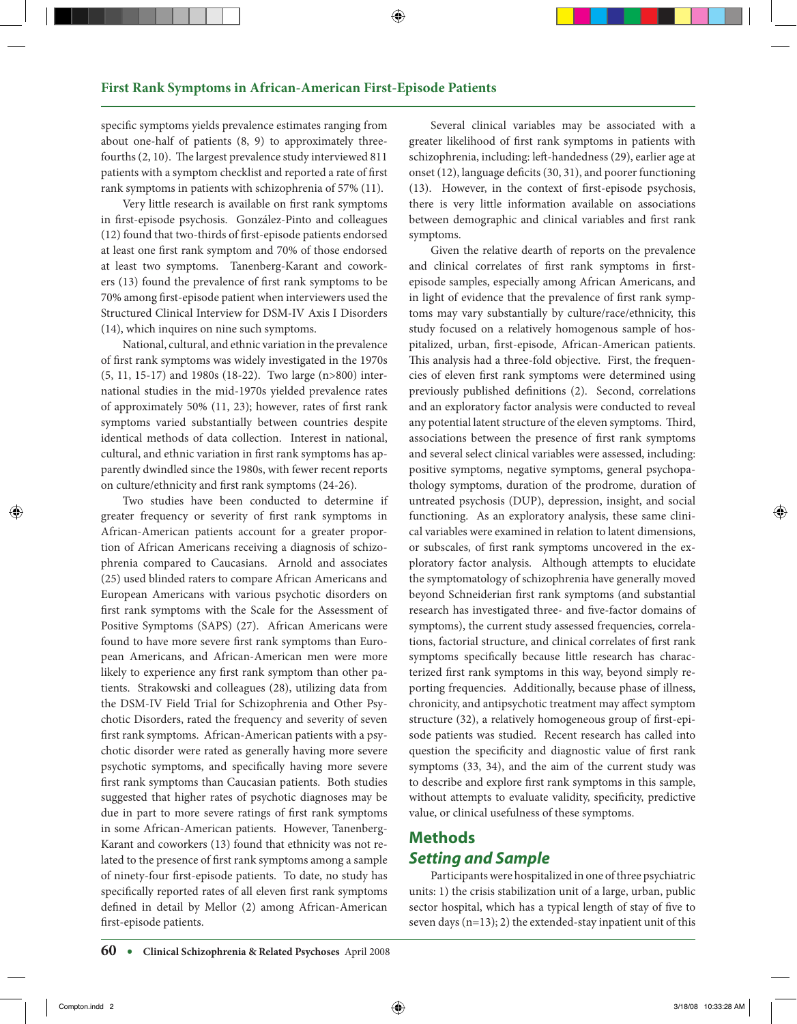specific symptoms yields prevalence estimates ranging from about one-half of patients (8, 9) to approximately threefourths (2, 10). The largest prevalence study interviewed 811 patients with a symptom checklist and reported a rate of first rank symptoms in patients with schizophrenia of 57% (11).

Very little research is available on first rank symptoms in first-episode psychosis. González-Pinto and colleagues (12) found that two-thirds of first-episode patients endorsed at least one first rank symptom and 70% of those endorsed at least two symptoms. Tanenberg-Karant and coworkers (13) found the prevalence of first rank symptoms to be 70% among first-episode patient when interviewers used the Structured Clinical Interview for DSM-IV Axis I Disorders (14), which inquires on nine such symptoms.

National, cultural, and ethnic variation in the prevalence of first rank symptoms was widely investigated in the 1970s (5, 11, 15-17) and 1980s (18-22). Two large (n>800) international studies in the mid-1970s yielded prevalence rates of approximately 50% (11, 23); however, rates of first rank symptoms varied substantially between countries despite identical methods of data collection. Interest in national, cultural, and ethnic variation in first rank symptoms has apparently dwindled since the 1980s, with fewer recent reports on culture/ethnicity and first rank symptoms (24-26).

Two studies have been conducted to determine if greater frequency or severity of first rank symptoms in African-American patients account for a greater proportion of African Americans receiving a diagnosis of schizophrenia compared to Caucasians. Arnold and associates (25) used blinded raters to compare African Americans and European Americans with various psychotic disorders on first rank symptoms with the Scale for the Assessment of Positive Symptoms (SAPS) (27). African Americans were found to have more severe first rank symptoms than European Americans, and African-American men were more likely to experience any first rank symptom than other patients. Strakowski and colleagues (28), utilizing data from the DSM-IV Field Trial for Schizophrenia and Other Psychotic Disorders, rated the frequency and severity of seven first rank symptoms. African-American patients with a psychotic disorder were rated as generally having more severe psychotic symptoms, and specifically having more severe first rank symptoms than Caucasian patients. Both studies suggested that higher rates of psychotic diagnoses may be due in part to more severe ratings of first rank symptoms in some African-American patients. However, Tanenberg-Karant and coworkers (13) found that ethnicity was not related to the presence of first rank symptoms among a sample of ninety-four first-episode patients. To date, no study has specifically reported rates of all eleven first rank symptoms defined in detail by Mellor (2) among African-American first-episode patients.

Several clinical variables may be associated with a greater likelihood of first rank symptoms in patients with schizophrenia, including: left-handedness (29), earlier age at onset (12), language deficits (30, 31), and poorer functioning (13). However, in the context of first-episode psychosis, there is very little information available on associations between demographic and clinical variables and first rank symptoms.

Given the relative dearth of reports on the prevalence and clinical correlates of first rank symptoms in firstepisode samples, especially among African Americans, and in light of evidence that the prevalence of first rank symptoms may vary substantially by culture/race/ethnicity, this study focused on a relatively homogenous sample of hospitalized, urban, first-episode, African-American patients. This analysis had a three-fold objective. First, the frequencies of eleven first rank symptoms were determined using previously published definitions (2). Second, correlations and an exploratory factor analysis were conducted to reveal any potential latent structure of the eleven symptoms. Third, associations between the presence of first rank symptoms and several select clinical variables were assessed, including: positive symptoms, negative symptoms, general psychopathology symptoms, duration of the prodrome, duration of untreated psychosis (DUP), depression, insight, and social functioning. As an exploratory analysis, these same clinical variables were examined in relation to latent dimensions, or subscales, of first rank symptoms uncovered in the exploratory factor analysis. Although attempts to elucidate the symptomatology of schizophrenia have generally moved beyond Schneiderian first rank symptoms (and substantial research has investigated three- and five-factor domains of symptoms), the current study assessed frequencies, correlations, factorial structure, and clinical correlates of first rank symptoms specifically because little research has characterized first rank symptoms in this way, beyond simply reporting frequencies. Additionally, because phase of illness, chronicity, and antipsychotic treatment may affect symptom structure (32), a relatively homogeneous group of first-episode patients was studied. Recent research has called into question the specificity and diagnostic value of first rank symptoms (33, 34), and the aim of the current study was to describe and explore first rank symptoms in this sample, without attempts to evaluate validity, specificity, predictive value, or clinical usefulness of these symptoms.

# **Methods** *Setting and Sample*

Participants were hospitalized in one of three psychiatric units: 1) the crisis stabilization unit of a large, urban, public sector hospital, which has a typical length of stay of five to seven days  $(n=13)$ ; 2) the extended-stay inpatient unit of this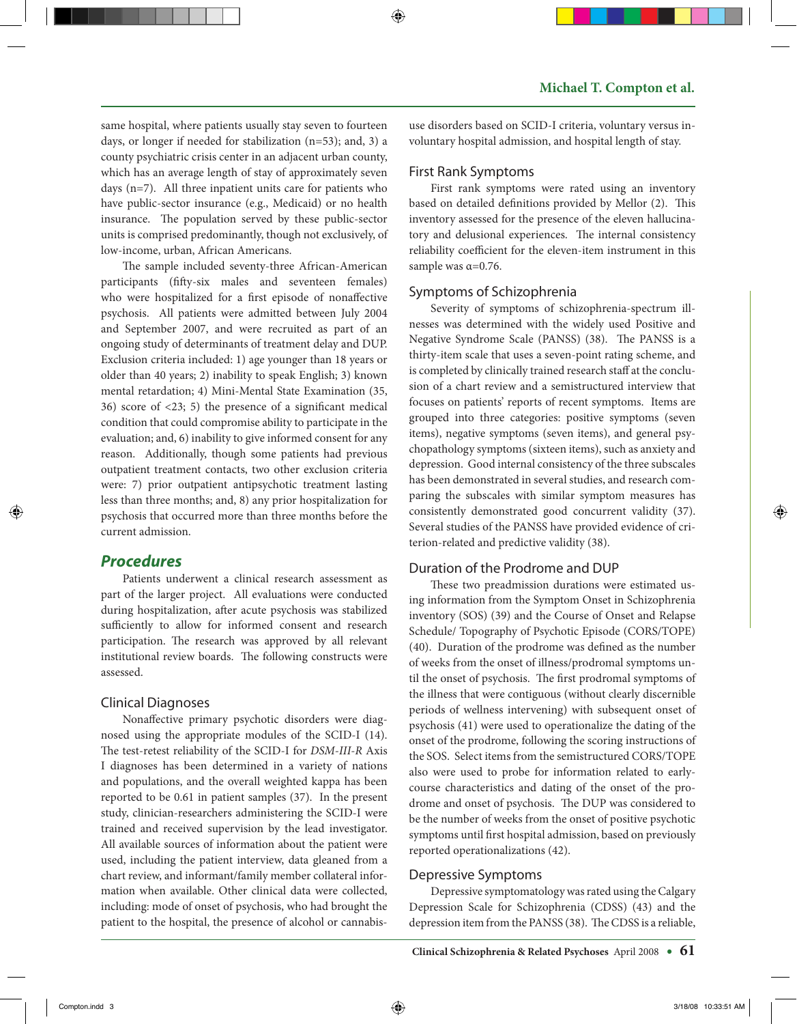same hospital, where patients usually stay seven to fourteen days, or longer if needed for stabilization (n=53); and, 3) a county psychiatric crisis center in an adjacent urban county, which has an average length of stay of approximately seven days (n=7). All three inpatient units care for patients who have public-sector insurance (e.g., Medicaid) or no health insurance. The population served by these public-sector units is comprised predominantly, though not exclusively, of low-income, urban, African Americans.

The sample included seventy-three African-American participants (fifty-six males and seventeen females) who were hospitalized for a first episode of nonaffective psychosis. All patients were admitted between July 2004 and September 2007, and were recruited as part of an ongoing study of determinants of treatment delay and DUP. Exclusion criteria included: 1) age younger than 18 years or older than 40 years; 2) inability to speak English; 3) known mental retardation; 4) Mini-Mental State Examination (35, 36) score of <23; 5) the presence of a significant medical condition that could compromise ability to participate in the evaluation; and, 6) inability to give informed consent for any reason. Additionally, though some patients had previous outpatient treatment contacts, two other exclusion criteria were: 7) prior outpatient antipsychotic treatment lasting less than three months; and, 8) any prior hospitalization for psychosis that occurred more than three months before the current admission.

## *Procedures*

Patients underwent a clinical research assessment as part of the larger project. All evaluations were conducted during hospitalization, after acute psychosis was stabilized sufficiently to allow for informed consent and research participation. The research was approved by all relevant institutional review boards. The following constructs were assessed.

#### Clinical Diagnoses

Nonaffective primary psychotic disorders were diagnosed using the appropriate modules of the SCID-I (14). The test-retest reliability of the SCID-I for *DSM-III-R* Axis I diagnoses has been determined in a variety of nations and populations, and the overall weighted kappa has been reported to be 0.61 in patient samples (37). In the present study, clinician-researchers administering the SCID-I were trained and received supervision by the lead investigator. All available sources of information about the patient were used, including the patient interview, data gleaned from a chart review, and informant/family member collateral information when available. Other clinical data were collected, including: mode of onset of psychosis, who had brought the patient to the hospital, the presence of alcohol or cannabisuse disorders based on SCID-I criteria, voluntary versus involuntary hospital admission, and hospital length of stay.

#### First Rank Symptoms

First rank symptoms were rated using an inventory based on detailed definitions provided by Mellor (2). This inventory assessed for the presence of the eleven hallucinatory and delusional experiences. The internal consistency reliability coefficient for the eleven-item instrument in this sample was α=0.76.

## Symptoms of Schizophrenia

Severity of symptoms of schizophrenia-spectrum illnesses was determined with the widely used Positive and Negative Syndrome Scale (PANSS) (38). The PANSS is a thirty-item scale that uses a seven-point rating scheme, and is completed by clinically trained research staff at the conclusion of a chart review and a semistructured interview that focuses on patients' reports of recent symptoms. Items are grouped into three categories: positive symptoms (seven items), negative symptoms (seven items), and general psychopathology symptoms (sixteen items), such as anxiety and depression. Good internal consistency of the three subscales has been demonstrated in several studies, and research comparing the subscales with similar symptom measures has consistently demonstrated good concurrent validity (37). Several studies of the PANSS have provided evidence of criterion-related and predictive validity (38).

## Duration of the Prodrome and DUP

These two preadmission durations were estimated using information from the Symptom Onset in Schizophrenia inventory (SOS) (39) and the Course of Onset and Relapse Schedule/ Topography of Psychotic Episode (CORS/TOPE) (40). Duration of the prodrome was defined as the number of weeks from the onset of illness/prodromal symptoms until the onset of psychosis. The first prodromal symptoms of the illness that were contiguous (without clearly discernible periods of wellness intervening) with subsequent onset of psychosis (41) were used to operationalize the dating of the onset of the prodrome, following the scoring instructions of the SOS. Select items from the semistructured CORS/TOPE also were used to probe for information related to earlycourse characteristics and dating of the onset of the prodrome and onset of psychosis. The DUP was considered to be the number of weeks from the onset of positive psychotic symptoms until first hospital admission, based on previously reported operationalizations (42).

## Depressive Symptoms

Depressive symptomatology was rated using the Calgary Depression Scale for Schizophrenia (CDSS) (43) and the depression item from the PANSS (38). The CDSS is a reliable,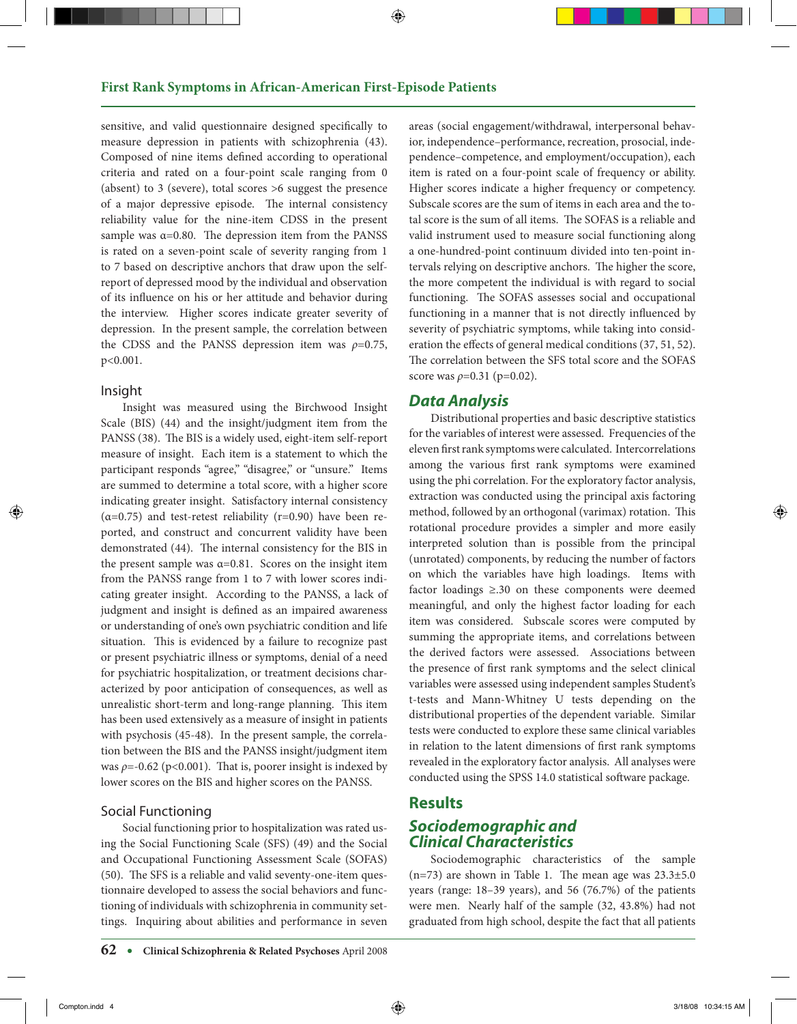sensitive, and valid questionnaire designed specifically to measure depression in patients with schizophrenia (43). Composed of nine items defined according to operational criteria and rated on a four-point scale ranging from 0 (absent) to 3 (severe), total scores >6 suggest the presence of a major depressive episode. The internal consistency reliability value for the nine-item CDSS in the present sample was  $\alpha$ =0.80. The depression item from the PANSS is rated on a seven-point scale of severity ranging from 1 to 7 based on descriptive anchors that draw upon the selfreport of depressed mood by the individual and observation of its influence on his or her attitude and behavior during the interview. Higher scores indicate greater severity of depression. In the present sample, the correlation between the CDSS and the PANSS depression item was  $\rho$ =0.75, p<0.001.

#### Insight

Insight was measured using the Birchwood Insight Scale (BIS) (44) and the insight/judgment item from the PANSS (38). The BIS is a widely used, eight-item self-report measure of insight. Each item is a statement to which the participant responds "agree," "disagree," or "unsure." Items are summed to determine a total score, with a higher score indicating greater insight. Satisfactory internal consistency ( $\alpha$ =0.75) and test-retest reliability (r=0.90) have been reported, and construct and concurrent validity have been demonstrated (44). The internal consistency for the BIS in the present sample was  $\alpha = 0.81$ . Scores on the insight item from the PANSS range from 1 to 7 with lower scores indicating greater insight. According to the PANSS, a lack of judgment and insight is defined as an impaired awareness or understanding of one's own psychiatric condition and life situation. This is evidenced by a failure to recognize past or present psychiatric illness or symptoms, denial of a need for psychiatric hospitalization, or treatment decisions characterized by poor anticipation of consequences, as well as unrealistic short-term and long-range planning. This item has been used extensively as a measure of insight in patients with psychosis (45-48). In the present sample, the correlation between the BIS and the PANSS insight/judgment item was *ρ*=-0.62 (p<0.001). That is, poorer insight is indexed by lower scores on the BIS and higher scores on the PANSS.

#### Social Functioning

Social functioning prior to hospitalization was rated using the Social Functioning Scale (SFS) (49) and the Social and Occupational Functioning Assessment Scale (SOFAS) (50). The SFS is a reliable and valid seventy-one-item questionnaire developed to assess the social behaviors and functioning of individuals with schizophrenia in community settings. Inquiring about abilities and performance in seven areas (social engagement/withdrawal, interpersonal behavior, independence–performance, recreation, prosocial, independence–competence, and employment/occupation), each item is rated on a four-point scale of frequency or ability. Higher scores indicate a higher frequency or competency. Subscale scores are the sum of items in each area and the total score is the sum of all items. The SOFAS is a reliable and valid instrument used to measure social functioning along a one-hundred-point continuum divided into ten-point intervals relying on descriptive anchors. The higher the score, the more competent the individual is with regard to social functioning. The SOFAS assesses social and occupational functioning in a manner that is not directly influenced by severity of psychiatric symptoms, while taking into consideration the effects of general medical conditions (37, 51, 52). The correlation between the SFS total score and the SOFAS score was  $ρ=0.31$  ( $p=0.02$ ).

#### *Data Analysis*

Distributional properties and basic descriptive statistics for the variables of interest were assessed. Frequencies of the eleven first rank symptoms were calculated. Intercorrelations among the various first rank symptoms were examined using the phi correlation. For the exploratory factor analysis, extraction was conducted using the principal axis factoring method, followed by an orthogonal (varimax) rotation. This rotational procedure provides a simpler and more easily interpreted solution than is possible from the principal (unrotated) components, by reducing the number of factors on which the variables have high loadings. Items with factor loadings ≥.30 on these components were deemed meaningful, and only the highest factor loading for each item was considered. Subscale scores were computed by summing the appropriate items, and correlations between the derived factors were assessed. Associations between the presence of first rank symptoms and the select clinical variables were assessed using independent samples Student's t-tests and Mann-Whitney U tests depending on the distributional properties of the dependent variable. Similar tests were conducted to explore these same clinical variables in relation to the latent dimensions of first rank symptoms revealed in the exploratory factor analysis. All analyses were conducted using the SPSS 14.0 statistical software package.

## **Results**

## *Sociodemographic and Clinical Characteristics*

Sociodemographic characteristics of the sample (n=73) are shown in Table 1. The mean age was  $23.3\pm5.0$ years (range: 18–39 years), and 56 (76.7%) of the patients were men. Nearly half of the sample (32, 43.8%) had not graduated from high school, despite the fact that all patients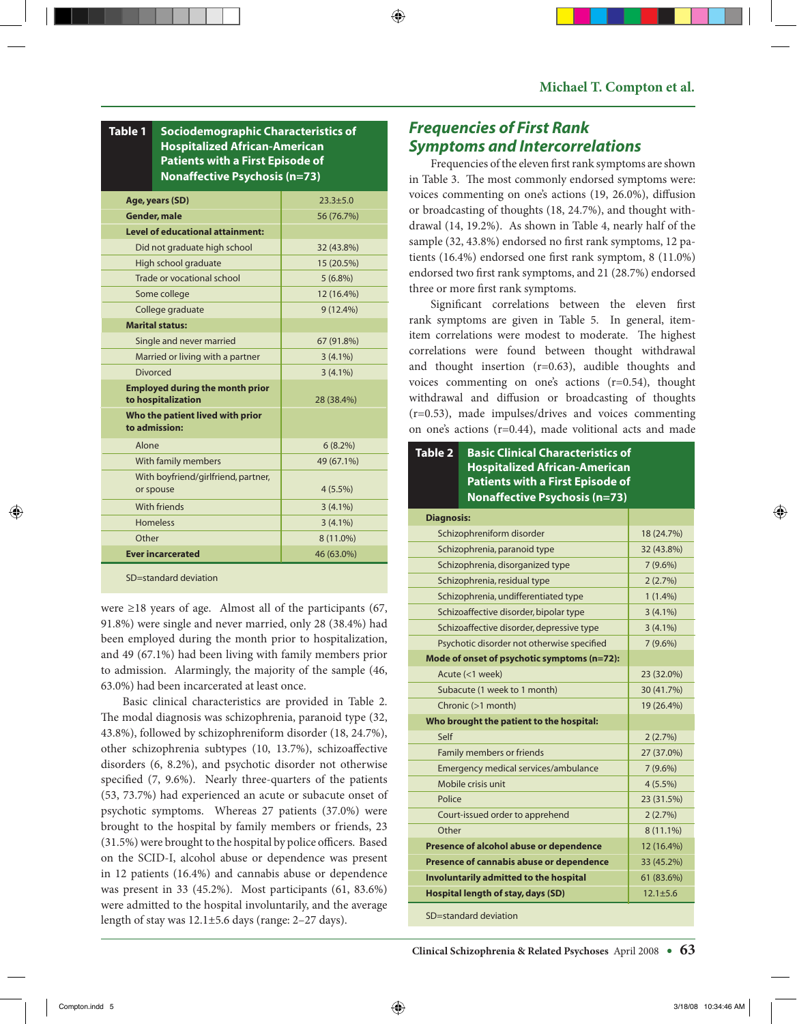**Table 1 Sociodemographic Characteristics of Hospitalized African-American Patients with a First Episode of Nonaffective Psychosis (n=73)**

| Age, years (SD)                                              | $23.3 + 5.0$ |
|--------------------------------------------------------------|--------------|
| <b>Gender, male</b>                                          | 56 (76.7%)   |
| <b>Level of educational attainment:</b>                      |              |
| Did not graduate high school                                 | 32 (43.8%)   |
| High school graduate                                         | 15 (20.5%)   |
| Trade or vocational school                                   | $5(6.8\%)$   |
| Some college                                                 | 12 (16.4%)   |
| College graduate                                             | $9(12.4\%)$  |
| <b>Marital status:</b>                                       |              |
| Single and never married                                     | 67 (91.8%)   |
| Married or living with a partner                             | $3(4.1\%)$   |
| Divorced                                                     | $3(4.1\%)$   |
| <b>Employed during the month prior</b><br>to hospitalization | 28 (38.4%)   |
| Who the patient lived with prior<br>to admission:            |              |
| Alone                                                        | $6(8.2\%)$   |
| With family members                                          | 49 (67.1%)   |
| With boyfriend/girlfriend, partner,<br>or spouse             | $4(5.5\%)$   |
| With friends                                                 | $3(4.1\%)$   |
| <b>Homeless</b>                                              | $3(4.1\%)$   |
| Other                                                        | 8 (11.0%)    |
| <b>Ever incarcerated</b>                                     | 46 (63.0%)   |
| SD=standard deviation                                        |              |

were ≥18 years of age. Almost all of the participants (67, 91.8%) were single and never married, only 28 (38.4%) had been employed during the month prior to hospitalization, and 49 (67.1%) had been living with family members prior to admission. Alarmingly, the majority of the sample (46, 63.0%) had been incarcerated at least once.

Basic clinical characteristics are provided in Table 2. The modal diagnosis was schizophrenia, paranoid type (32, 43.8%), followed by schizophreniform disorder (18, 24.7%), other schizophrenia subtypes (10, 13.7%), schizoaffective disorders (6, 8.2%), and psychotic disorder not otherwise specified (7, 9.6%). Nearly three-quarters of the patients (53, 73.7%) had experienced an acute or subacute onset of psychotic symptoms. Whereas 27 patients (37.0%) were brought to the hospital by family members or friends, 23 (31.5%) were brought to the hospital by police officers. Based on the SCID-I, alcohol abuse or dependence was present in 12 patients (16.4%) and cannabis abuse or dependence was present in 33 (45.2%). Most participants (61, 83.6%) were admitted to the hospital involuntarily, and the average length of stay was 12.1±5.6 days (range: 2–27 days).

# *Frequencies of First Rank Symptoms and Intercorrelations*

Frequencies of the eleven first rank symptoms are shown in Table 3. The most commonly endorsed symptoms were: voices commenting on one's actions (19, 26.0%), diffusion or broadcasting of thoughts (18, 24.7%), and thought withdrawal (14, 19.2%). As shown in Table 4, nearly half of the sample (32, 43.8%) endorsed no first rank symptoms, 12 patients (16.4%) endorsed one first rank symptom, 8 (11.0%) endorsed two first rank symptoms, and 21 (28.7%) endorsed three or more first rank symptoms.

Significant correlations between the eleven first rank symptoms are given in Table 5. In general, itemitem correlations were modest to moderate. The highest correlations were found between thought withdrawal and thought insertion (r=0.63), audible thoughts and voices commenting on one's actions (r=0.54), thought withdrawal and diffusion or broadcasting of thoughts (r=0.53), made impulses/drives and voices commenting on one's actions (r=0.44), made volitional acts and made

#### **Table 2 Basic Clinical Characteristics of Hospitalized African-American Patients with a First Episode of Nonaffective Psychosis (n=73)**

| <b>Diagnosis:</b>                           |                |
|---------------------------------------------|----------------|
| Schizophreniform disorder                   | 18 (24.7%)     |
| Schizophrenia, paranoid type                | 32 (43.8%)     |
| Schizophrenia, disorganized type            | $7(9.6\%)$     |
| Schizophrenia, residual type                | 2(2.7%)        |
| Schizophrenia, undifferentiated type        | $1(1.4\%)$     |
| Schizoaffective disorder, bipolar type      | $3(4.1\%)$     |
| Schizoaffective disorder, depressive type   | $3(4.1\%)$     |
| Psychotic disorder not otherwise specified  | $7(9.6\%)$     |
| Mode of onset of psychotic symptoms (n=72): |                |
| Acute (<1 week)                             | 23 (32.0%)     |
| Subacute (1 week to 1 month)                | 30 (41.7%)     |
| Chronic (>1 month)                          | 19 (26.4%)     |
| Who brought the patient to the hospital:    |                |
| Self                                        | 2(2.7%)        |
| Family members or friends                   | 27 (37.0%)     |
| Emergency medical services/ambulance        | $7(9.6\%)$     |
| Mobile crisis unit                          | $4(5.5\%)$     |
| Police                                      | 23 (31.5%)     |
| Court-issued order to apprehend             | 2(2.7%)        |
| Other                                       | $8(11.1\%)$    |
| Presence of alcohol abuse or dependence     | 12 (16.4%)     |
| Presence of cannabis abuse or dependence    | 33 (45.2%)     |
| Involuntarily admitted to the hospital      | 61 (83.6%)     |
|                                             |                |
| Hospital length of stay, days (SD)          | $12.1 \pm 5.6$ |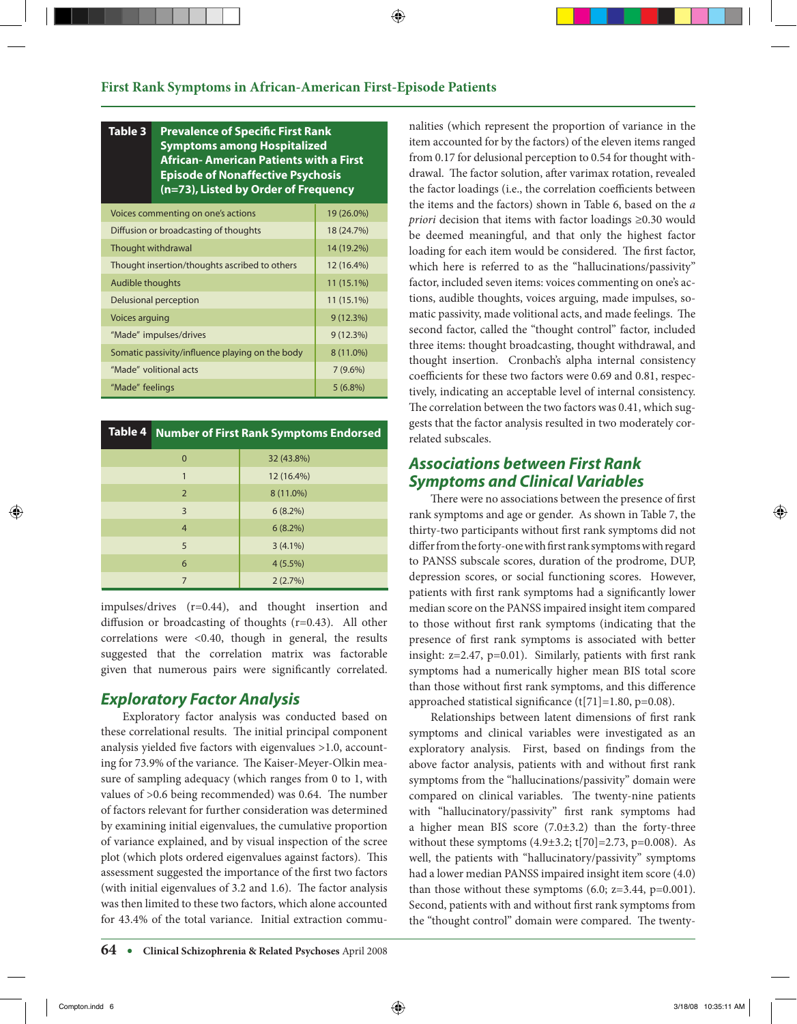#### **Table 3 Prevalence of Specific First Rank Symptoms among Hospitalized African- American Patients with a First Episode of Nonaffective Psychosis (n=73), Listed by Order of Frequency**

| Voices commenting on one's actions              | 19 (26.0%)   |
|-------------------------------------------------|--------------|
| Diffusion or broadcasting of thoughts           | 18 (24.7%)   |
| Thought withdrawal                              | 14 (19.2%)   |
| Thought insertion/thoughts ascribed to others   | 12 (16.4%)   |
| Audible thoughts                                | 11 (15.1%)   |
| Delusional perception                           | $11(15.1\%)$ |
| <b>Voices arguing</b>                           | 9(12.3%)     |
| "Made" impulses/drives                          | 9(12.3%)     |
| Somatic passivity/influence playing on the body | 8 (11.0%)    |
| "Made" volitional acts                          | $7(9.6\%)$   |
| "Made" feelings                                 | $5(6.8\%)$   |

| Table 4 |                | Number of First Rank Symptoms Endorsed |
|---------|----------------|----------------------------------------|
|         | 0              | 32 (43.8%)                             |
|         | 1              | 12 (16.4%)                             |
|         | $\overline{2}$ | 8 (11.0%)                              |
|         | 3              | $6(8.2\%)$                             |
|         | $\overline{4}$ | $6(8.2\%)$                             |
|         | 5              | $3(4.1\%)$                             |
|         | 6              | $4(5.5\%)$                             |
|         | 7              | 2(2.7%)                                |

impulses/drives (r=0.44), and thought insertion and diffusion or broadcasting of thoughts (r=0.43). All other correlations were <0.40, though in general, the results suggested that the correlation matrix was factorable given that numerous pairs were significantly correlated.

# *Exploratory Factor Analysis*

Exploratory factor analysis was conducted based on these correlational results. The initial principal component analysis yielded five factors with eigenvalues >1.0, accounting for 73.9% of the variance. The Kaiser-Meyer-Olkin measure of sampling adequacy (which ranges from 0 to 1, with values of >0.6 being recommended) was 0.64. The number of factors relevant for further consideration was determined by examining initial eigenvalues, the cumulative proportion of variance explained, and by visual inspection of the scree plot (which plots ordered eigenvalues against factors). This assessment suggested the importance of the first two factors (with initial eigenvalues of 3.2 and 1.6). The factor analysis was then limited to these two factors, which alone accounted for 43.4% of the total variance. Initial extraction communalities (which represent the proportion of variance in the item accounted for by the factors) of the eleven items ranged from 0.17 for delusional perception to 0.54 for thought withdrawal. The factor solution, after varimax rotation, revealed the factor loadings (i.e., the correlation coefficients between the items and the factors) shown in Table 6, based on the *a priori* decision that items with factor loadings ≥0.30 would be deemed meaningful, and that only the highest factor loading for each item would be considered. The first factor, which here is referred to as the "hallucinations/passivity" factor, included seven items: voices commenting on one's actions, audible thoughts, voices arguing, made impulses, somatic passivity, made volitional acts, and made feelings. The second factor, called the "thought control" factor, included three items: thought broadcasting, thought withdrawal, and thought insertion. Cronbach's alpha internal consistency coefficients for these two factors were 0.69 and 0.81, respectively, indicating an acceptable level of internal consistency. The correlation between the two factors was 0.41, which suggests that the factor analysis resulted in two moderately correlated subscales.

# *Associations between First Rank Symptoms and Clinical Variables*

There were no associations between the presence of first rank symptoms and age or gender. As shown in Table 7, the thirty-two participants without first rank symptoms did not differ from the forty-one with first rank symptoms with regard to PANSS subscale scores, duration of the prodrome, DUP, depression scores, or social functioning scores. However, patients with first rank symptoms had a significantly lower median score on the PANSS impaired insight item compared to those without first rank symptoms (indicating that the presence of first rank symptoms is associated with better insight: z=2.47, p=0.01). Similarly, patients with first rank symptoms had a numerically higher mean BIS total score than those without first rank symptoms, and this difference approached statistical significance (t[71]=1.80, p=0.08).

Relationships between latent dimensions of first rank symptoms and clinical variables were investigated as an exploratory analysis. First, based on findings from the above factor analysis, patients with and without first rank symptoms from the "hallucinations/passivity" domain were compared on clinical variables. The twenty-nine patients with "hallucinatory/passivity" first rank symptoms had a higher mean BIS score (7.0±3.2) than the forty-three without these symptoms  $(4.9\pm3.2; t[70] = 2.73, p=0.008)$ . As well, the patients with "hallucinatory/passivity" symptoms had a lower median PANSS impaired insight item score (4.0) than those without these symptoms  $(6.0; z=3.44, p=0.001)$ . Second, patients with and without first rank symptoms from the "thought control" domain were compared. The twenty-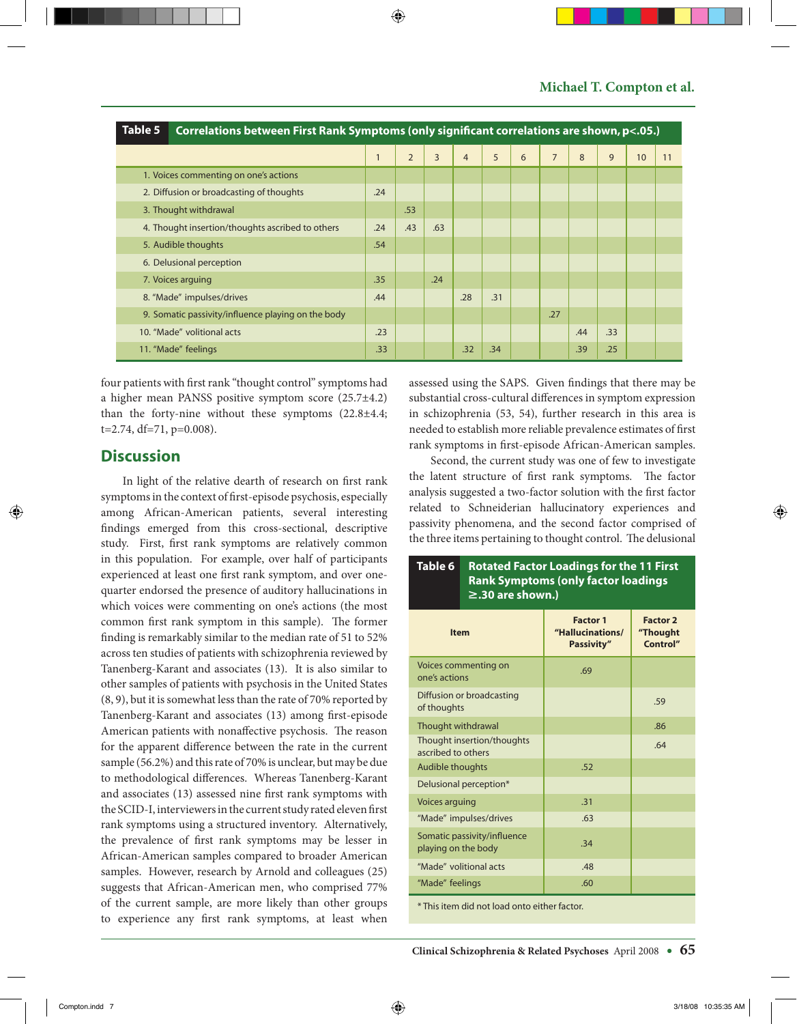| Table 5 | Correlations between First Rank Symptoms (only significant correlations are shown, p<.05.) |     |                |                |                |     |   |                |     |     |    |    |
|---------|--------------------------------------------------------------------------------------------|-----|----------------|----------------|----------------|-----|---|----------------|-----|-----|----|----|
|         |                                                                                            |     | $\overline{2}$ | $\overline{3}$ | $\overline{4}$ | 5   | 6 | $\overline{7}$ | 8   | 9   | 10 | 11 |
|         | 1. Voices commenting on one's actions                                                      |     |                |                |                |     |   |                |     |     |    |    |
|         | 2. Diffusion or broadcasting of thoughts                                                   |     |                |                |                |     |   |                |     |     |    |    |
|         | 3. Thought withdrawal                                                                      |     | .53            |                |                |     |   |                |     |     |    |    |
|         | 4. Thought insertion/thoughts ascribed to others                                           |     | .43            | .63            |                |     |   |                |     |     |    |    |
|         | 5. Audible thoughts                                                                        |     |                |                |                |     |   |                |     |     |    |    |
|         | 6. Delusional perception                                                                   |     |                |                |                |     |   |                |     |     |    |    |
|         | 7. Voices arguing                                                                          | .35 |                | .24            |                |     |   |                |     |     |    |    |
|         | 8. "Made" impulses/drives                                                                  | .44 |                |                | .28            | .31 |   |                |     |     |    |    |
|         | 9. Somatic passivity/influence playing on the body                                         |     |                |                |                |     |   | .27            |     |     |    |    |
|         | 10. "Made" volitional acts                                                                 | .23 |                |                |                |     |   |                | .44 | .33 |    |    |
|         | 11. "Made" feelings                                                                        | .33 |                |                | .32            | .34 |   |                | .39 | .25 |    |    |

four patients with first rank "thought control" symptoms had a higher mean PANSS positive symptom score (25.7±4.2) than the forty-nine without these symptoms  $(22.8\pm4.4;$  $t=2.74$ ,  $df=71$ ,  $p=0.008$ ).

# **Discussion**

In light of the relative dearth of research on first rank symptoms in the context of first-episode psychosis, especially among African-American patients, several interesting findings emerged from this cross-sectional, descriptive study. First, first rank symptoms are relatively common in this population. For example, over half of participants experienced at least one first rank symptom, and over onequarter endorsed the presence of auditory hallucinations in which voices were commenting on one's actions (the most common first rank symptom in this sample). The former finding is remarkably similar to the median rate of 51 to 52% across ten studies of patients with schizophrenia reviewed by Tanenberg-Karant and associates (13). It is also similar to other samples of patients with psychosis in the United States (8, 9), but it is somewhat less than the rate of 70% reported by Tanenberg-Karant and associates (13) among first-episode American patients with nonaffective psychosis. The reason for the apparent difference between the rate in the current sample (56.2%) and this rate of 70% is unclear, but may be due to methodological differences. Whereas Tanenberg-Karant and associates (13) assessed nine first rank symptoms with the SCID-I, interviewers in the current study rated eleven first rank symptoms using a structured inventory. Alternatively, the prevalence of first rank symptoms may be lesser in African-American samples compared to broader American samples. However, research by Arnold and colleagues (25) suggests that African-American men, who comprised 77% of the current sample, are more likely than other groups to experience any first rank symptoms, at least when assessed using the SAPS. Given findings that there may be substantial cross-cultural differences in symptom expression in schizophrenia (53, 54), further research in this area is needed to establish more reliable prevalence estimates of first rank symptoms in first-episode African-American samples.

Second, the current study was one of few to investigate the latent structure of first rank symptoms. The factor analysis suggested a two-factor solution with the first factor related to Schneiderian hallucinatory experiences and passivity phenomena, and the second factor comprised of the three items pertaining to thought control. The delusional

| Table 6<br><b>Rotated Factor Loadings for the 11 First</b><br><b>Rank Symptoms (only factor loadings</b><br>$\geq$ .30 are shown.)                                                                                             |                           |                                                          |                                         |  |  |  |  |  |
|--------------------------------------------------------------------------------------------------------------------------------------------------------------------------------------------------------------------------------|---------------------------|----------------------------------------------------------|-----------------------------------------|--|--|--|--|--|
| <b>Item</b>                                                                                                                                                                                                                    |                           | <b>Factor 1</b><br>"Hallucinations/<br><b>Passivity"</b> | <b>Factor 2</b><br>"Thought<br>Control" |  |  |  |  |  |
| one's actions                                                                                                                                                                                                                  | Voices commenting on      | .69                                                      |                                         |  |  |  |  |  |
| of thoughts                                                                                                                                                                                                                    | Diffusion or broadcasting |                                                          | .59                                     |  |  |  |  |  |
| Thought withdrawal                                                                                                                                                                                                             |                           |                                                          | .86                                     |  |  |  |  |  |
| Thought insertion/thoughts<br>ascribed to others                                                                                                                                                                               |                           |                                                          | .64                                     |  |  |  |  |  |
| Audible thoughts                                                                                                                                                                                                               |                           | .52                                                      |                                         |  |  |  |  |  |
|                                                                                                                                                                                                                                | Delusional perception*    |                                                          |                                         |  |  |  |  |  |
| Voices arguing                                                                                                                                                                                                                 |                           | .31                                                      |                                         |  |  |  |  |  |
|                                                                                                                                                                                                                                | "Made" impulses/drives    | .63                                                      |                                         |  |  |  |  |  |
| Somatic passivity/influence<br>playing on the body                                                                                                                                                                             |                           | .34                                                      |                                         |  |  |  |  |  |
| "Made" volitional acts                                                                                                                                                                                                         |                           | .48                                                      |                                         |  |  |  |  |  |
| "Made" feelings                                                                                                                                                                                                                |                           | .60                                                      |                                         |  |  |  |  |  |
| where the contract of the contract of the contract of the contract of the contract of the contract of the contract of the contract of the contract of the contract of the contract of the contract of the contract of the cont |                           |                                                          |                                         |  |  |  |  |  |

This item did not load onto either factor.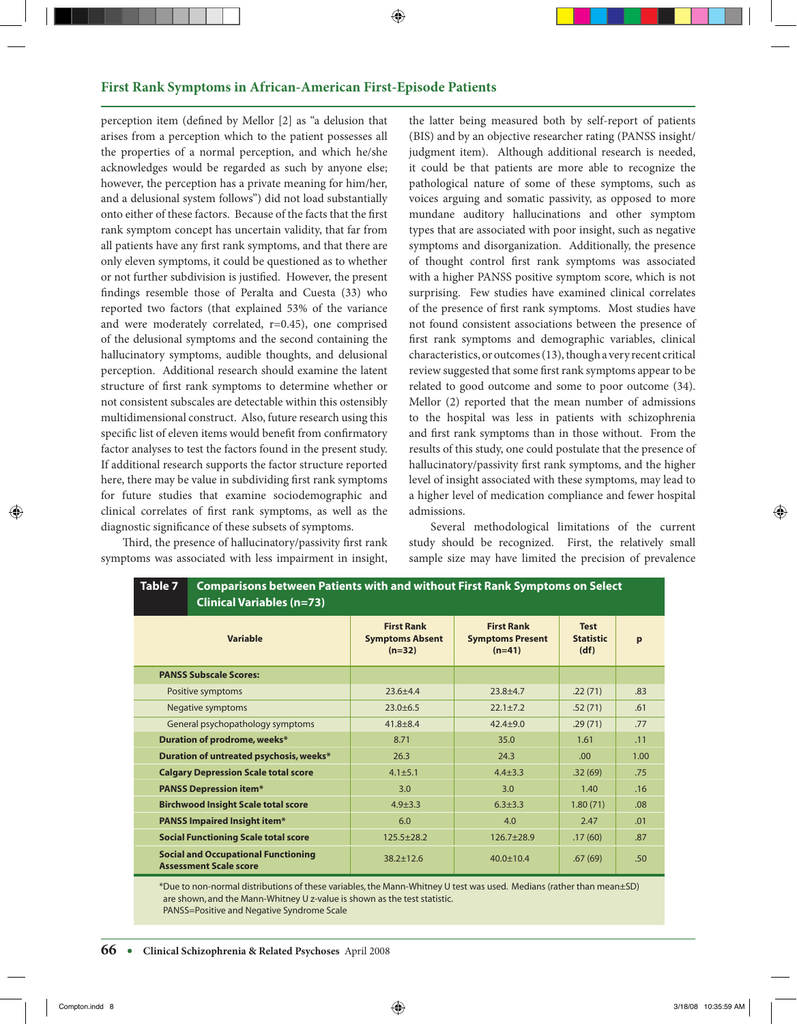#### **First Rank Symptoms in African-American First-Episode Patients**

perception item (defined by Mellor [2] as "a delusion that arises from a perception which to the patient possesses all the properties of a normal perception, and which he/she acknowledges would be regarded as such by anyone else; however, the perception has a private meaning for him/her, and a delusional system follows") did not load substantially onto either of these factors. Because of the facts that the first rank symptom concept has uncertain validity, that far from all patients have any first rank symptoms, and that there are only eleven symptoms, it could be questioned as to whether or not further subdivision is justified. However, the present findings resemble those of Peralta and Cuesta (33) who reported two factors (that explained 53% of the variance and were moderately correlated, r=0.45), one comprised of the delusional symptoms and the second containing the hallucinatory symptoms, audible thoughts, and delusional perception. Additional research should examine the latent structure of first rank symptoms to determine whether or not consistent subscales are detectable within this ostensibly multidimensional construct. Also, future research using this specific list of eleven items would benefit from confirmatory factor analyses to test the factors found in the present study. If additional research supports the factor structure reported here, there may be value in subdividing first rank symptoms for future studies that examine sociodemographic and clinical correlates of first rank symptoms, as well as the diagnostic significance of these subsets of symptoms.

Third, the presence of hallucinatory/passivity first rank symptoms was associated with less impairment in insight,

**Table 7**

the latter being measured both by self-report of patients (BIS) and by an objective researcher rating (PANSS insight/ judgment item). Although additional research is needed, it could be that patients are more able to recognize the pathological nature of some of these symptoms, such as voices arguing and somatic passivity, as opposed to more mundane auditory hallucinations and other symptom types that are associated with poor insight, such as negative symptoms and disorganization. Additionally, the presence of thought control first rank symptoms was associated with a higher PANSS positive symptom score, which is not surprising. Few studies have examined clinical correlates of the presence of first rank symptoms. Most studies have not found consistent associations between the presence of first rank symptoms and demographic variables, clinical characteristics, or outcomes (13), though a very recent critical review suggested that some first rank symptoms appear to be related to good outcome and some to poor outcome (34). Mellor (2) reported that the mean number of admissions to the hospital was less in patients with schizophrenia and first rank symptoms than in those without. From the results of this study, one could postulate that the presence of hallucinatory/passivity first rank symptoms, and the higher level of insight associated with these symptoms, may lead to a higher level of medication compliance and fewer hospital admissions.

Several methodological limitations of the current study should be recognized. First, the relatively small sample size may have limited the precision of prevalence

| <b>Clinical Variables (n=73)</b>                                            |                                                         |                                                          |                                         |      |
|-----------------------------------------------------------------------------|---------------------------------------------------------|----------------------------------------------------------|-----------------------------------------|------|
| <b>Variable</b>                                                             | <b>First Rank</b><br><b>Symptoms Absent</b><br>$(n=32)$ | <b>First Rank</b><br><b>Symptoms Present</b><br>$(n=41)$ | <b>Test</b><br><b>Statistic</b><br>(df) | p    |
| <b>PANSS Subscale Scores:</b>                                               |                                                         |                                                          |                                         |      |
| Positive symptoms                                                           | $23.6 + 4.4$                                            | $23.8 + 4.7$                                             | .22(71)                                 | .83  |
| Negative symptoms                                                           | $23.0 \pm 6.5$                                          | $22.1 + 7.2$                                             | .52(71)                                 | .61  |
| General psychopathology symptoms                                            | $41.8 \pm 8.4$                                          | $42.4 + 9.0$                                             | .29(71)                                 | .77  |
| Duration of prodrome, weeks*                                                | 8.71                                                    | 35.0                                                     | 1.61                                    | .11  |
| Duration of untreated psychosis, weeks*                                     | 26.3                                                    | 24.3                                                     | .00                                     | 1.00 |
| <b>Calgary Depression Scale total score</b>                                 | $4.1 \pm 5.1$                                           | $4.4 + 3.3$                                              | .32(69)                                 | .75  |
| <b>PANSS Depression item*</b>                                               | 3.0                                                     | 3.0                                                      | 1.40                                    | .16  |
| <b>Birchwood Insight Scale total score</b>                                  | $4.9 \pm 3.3$                                           | $6.3 \pm 3.3$                                            | 1.80(71)                                | .08  |
| <b>PANSS Impaired Insight item*</b>                                         | 6.0                                                     | 4.0                                                      | 2.47                                    | .01  |
| <b>Social Functioning Scale total score</b>                                 | $125.5 + 28.2$                                          | $126.7 + 28.9$                                           | .17(60)                                 | .87  |
| <b>Social and Occupational Functioning</b><br><b>Assessment Scale score</b> | $38.2 + 12.6$                                           | $40.0 \pm 10.4$                                          | .67(69)                                 | .50  |

**Comparisons between Patients with and without First Rank Symptoms on Select** 

\*Due to non-normal distributions of these variables,the Mann-Whitney U test was used. Medians (rather than mean±SD) are shown, and the Mann-Whitney U z-value is shown as the test statistic. PANSS=Positive and Negative Syndrome Scale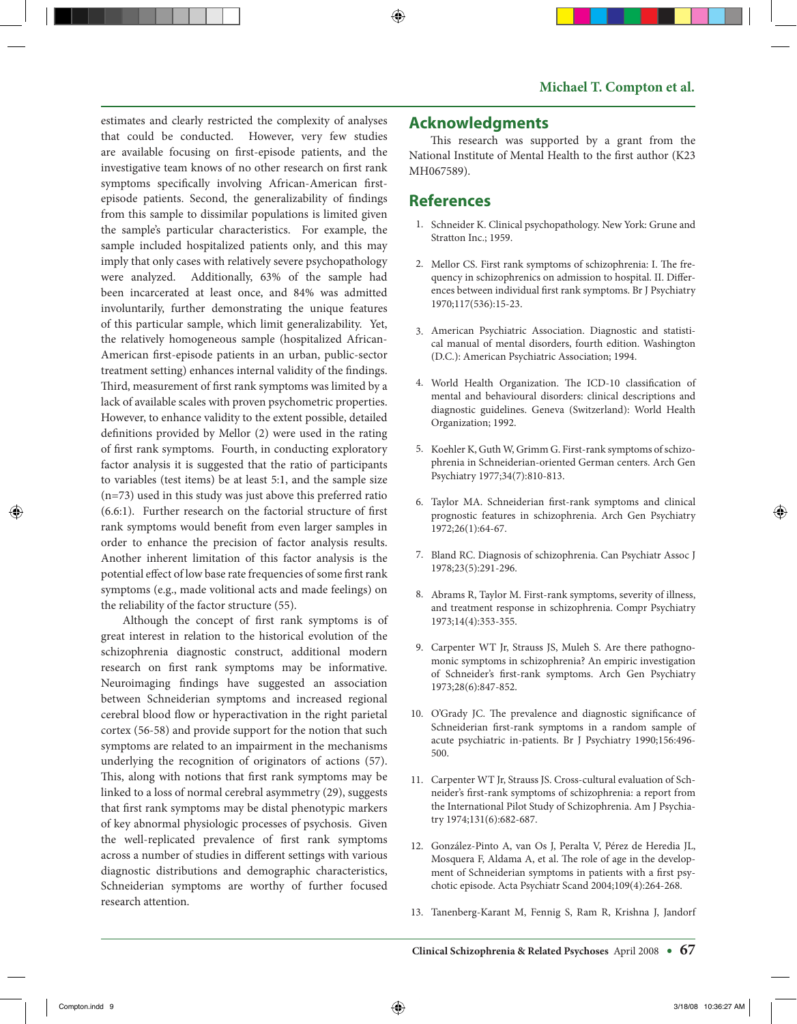estimates and clearly restricted the complexity of analyses that could be conducted. However, very few studies are available focusing on first-episode patients, and the investigative team knows of no other research on first rank symptoms specifically involving African-American firstepisode patients. Second, the generalizability of findings from this sample to dissimilar populations is limited given the sample's particular characteristics. For example, the sample included hospitalized patients only, and this may imply that only cases with relatively severe psychopathology were analyzed. Additionally, 63% of the sample had been incarcerated at least once, and 84% was admitted involuntarily, further demonstrating the unique features of this particular sample, which limit generalizability. Yet, the relatively homogeneous sample (hospitalized African-American first-episode patients in an urban, public-sector treatment setting) enhances internal validity of the findings. Third, measurement of first rank symptoms was limited by a lack of available scales with proven psychometric properties. However, to enhance validity to the extent possible, detailed definitions provided by Mellor (2) were used in the rating of first rank symptoms. Fourth, in conducting exploratory factor analysis it is suggested that the ratio of participants to variables (test items) be at least 5:1, and the sample size (n=73) used in this study was just above this preferred ratio (6.6:1). Further research on the factorial structure of first rank symptoms would benefit from even larger samples in order to enhance the precision of factor analysis results. Another inherent limitation of this factor analysis is the potential effect of low base rate frequencies of some first rank symptoms (e.g., made volitional acts and made feelings) on the reliability of the factor structure (55).

Although the concept of first rank symptoms is of great interest in relation to the historical evolution of the schizophrenia diagnostic construct, additional modern research on first rank symptoms may be informative. Neuroimaging findings have suggested an association between Schneiderian symptoms and increased regional cerebral blood flow or hyperactivation in the right parietal cortex (56-58) and provide support for the notion that such symptoms are related to an impairment in the mechanisms underlying the recognition of originators of actions (57). This, along with notions that first rank symptoms may be linked to a loss of normal cerebral asymmetry (29), suggests that first rank symptoms may be distal phenotypic markers of key abnormal physiologic processes of psychosis. Given the well-replicated prevalence of first rank symptoms across a number of studies in different settings with various diagnostic distributions and demographic characteristics, Schneiderian symptoms are worthy of further focused research attention.

#### **Acknowledgments**

This research was supported by a grant from the National Institute of Mental Health to the first author (K23 MH067589).

## **References**

- 1. Schneider K. Clinical psychopathology. New York: Grune and Stratton Inc.; 1959.
- 2. Mellor CS. First rank symptoms of schizophrenia: I. The frequency in schizophrenics on admission to hospital. II. Differences between individual first rank symptoms. Br J Psychiatry 1970;117(536):15-23.
- 3. American Psychiatric Association. Diagnostic and statistical manual of mental disorders, fourth edition. Washington (D.C.): American Psychiatric Association; 1994.
- 4. World Health Organization. The ICD-10 classification of mental and behavioural disorders: clinical descriptions and diagnostic guidelines. Geneva (Switzerland): World Health Organization; 1992.
- 5. Koehler K, Guth W, Grimm G. First-rank symptoms of schizophrenia in Schneiderian-oriented German centers. Arch Gen Psychiatry 1977;34(7):810-813.
- 6. Taylor MA. Schneiderian first-rank symptoms and clinical prognostic features in schizophrenia. Arch Gen Psychiatry 1972;26(1):64-67.
- 7. Bland RC. Diagnosis of schizophrenia. Can Psychiatr Assoc J 1978;23(5):291-296.
- 8. Abrams R, Taylor M. First-rank symptoms, severity of illness, and treatment response in schizophrenia. Compr Psychiatry 1973;14(4):353-355.
- 9. Carpenter WT Jr, Strauss JS, Muleh S. Are there pathognomonic symptoms in schizophrenia? An empiric investigation of Schneider's first-rank symptoms. Arch Gen Psychiatry 1973;28(6):847-852.
- 10. O'Grady JC. The prevalence and diagnostic significance of Schneiderian first-rank symptoms in a random sample of acute psychiatric in-patients. Br J Psychiatry 1990;156:496- 500.
- 11. Carpenter WT Jr, Strauss JS. Cross-cultural evaluation of Schneider's first-rank symptoms of schizophrenia: a report from the International Pilot Study of Schizophrenia. Am J Psychiatry 1974;131(6):682-687.
- 12. González-Pinto A, van Os J, Peralta V, Pérez de Heredia JL, Mosquera F, Aldama A, et al. The role of age in the development of Schneiderian symptoms in patients with a first psychotic episode. Acta Psychiatr Scand 2004;109(4):264-268.
- 13. Tanenberg-Karant M, Fennig S, Ram R, Krishna J, Jandorf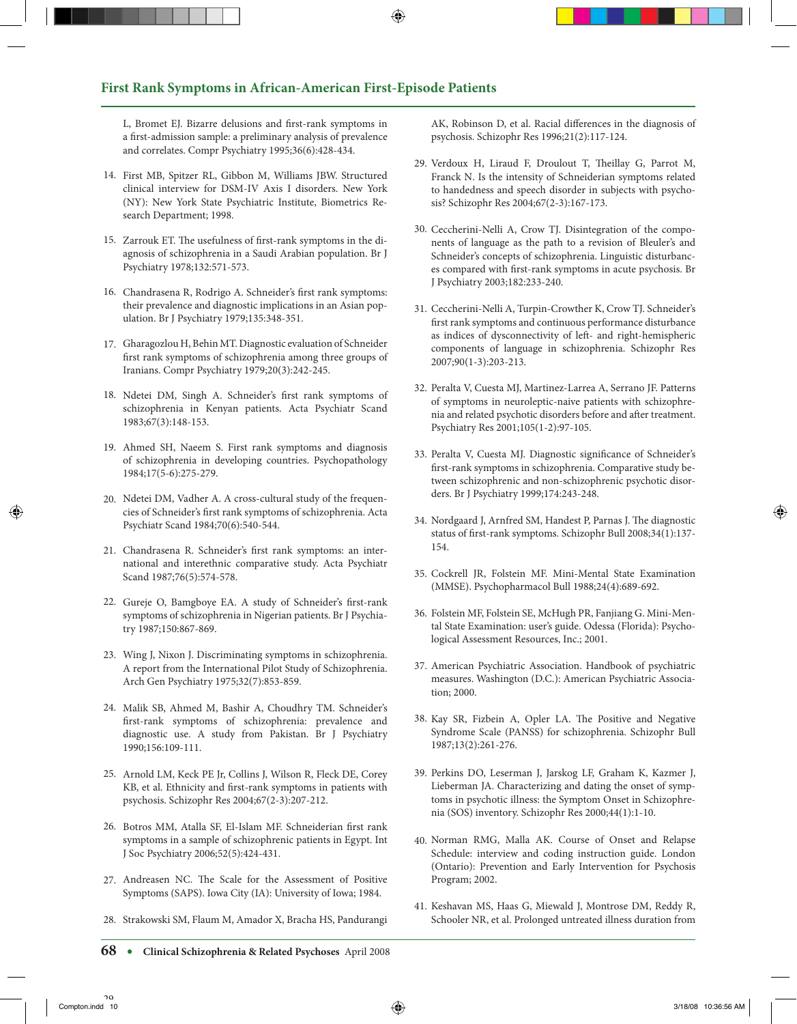#### **First Rank Symptoms in African-American First-Episode Patients**

L, Bromet EJ. Bizarre delusions and first-rank symptoms in a first-admission sample: a preliminary analysis of prevalence and correlates. Compr Psychiatry 1995;36(6):428-434.

- 14. First MB, Spitzer RL, Gibbon M, Williams JBW. Structured clinical interview for DSM-IV Axis I disorders. New York (NY): New York State Psychiatric Institute, Biometrics Research Department; 1998.
- 15. Zarrouk ET. The usefulness of first-rank symptoms in the diagnosis of schizophrenia in a Saudi Arabian population. Br J Psychiatry 1978;132:571-573.
- Chandrasena R, Rodrigo A. Schneider's first rank symptoms: 16. their prevalence and diagnostic implications in an Asian population. Br J Psychiatry 1979;135:348-351.
- Gharagozlou H, Behin MT. Diagnostic evaluation of Schneider 17. first rank symptoms of schizophrenia among three groups of Iranians. Compr Psychiatry 1979;20(3):242-245.
- 18. Ndetei DM, Singh A. Schneider's first rank symptoms of schizophrenia in Kenyan patients. Acta Psychiatr Scand 1983;67(3):148-153.
- Ahmed SH, Naeem S. First rank symptoms and diagnosis 19. of schizophrenia in developing countries. Psychopathology 1984;17(5-6):275-279.
- Ndetei DM, Vadher A. A cross-cultural study of the frequen-20. cies of Schneider's first rank symptoms of schizophrenia. Acta Psychiatr Scand 1984;70(6):540-544.
- Chandrasena R. Schneider's first rank symptoms: an inter-21. national and interethnic comparative study. Acta Psychiatr Scand 1987;76(5):574-578.
- 22. Gureje O, Bamgboye EA. A study of Schneider's first-rank symptoms of schizophrenia in Nigerian patients. Br J Psychiatry 1987;150:867-869.
- Wing J, Nixon J. Discriminating symptoms in schizophrenia. 23. A report from the International Pilot Study of Schizophrenia. Arch Gen Psychiatry 1975;32(7):853-859.
- 24. Malik SB, Ahmed M, Bashir A, Choudhry TM. Schneider's first-rank symptoms of schizophrenia: prevalence and diagnostic use. A study from Pakistan. Br J Psychiatry 1990;156:109-111.
- 25. Arnold LM, Keck PE Jr, Collins J, Wilson R, Fleck DE, Corey KB, et al. Ethnicity and first-rank symptoms in patients with psychosis. Schizophr Res 2004;67(2-3):207-212.
- 26. Botros MM, Atalla SF, El-Islam MF. Schneiderian first rank symptoms in a sample of schizophrenic patients in Egypt. Int J Soc Psychiatry 2006;52(5):424-431.
- 27. Andreasen NC. The Scale for the Assessment of Positive Symptoms (SAPS). Iowa City (IA): University of Iowa; 1984.
- 28. Strakowski SM, Flaum M, Amador X, Bracha HS, Pandurangi

AK, Robinson D, et al. Racial differences in the diagnosis of psychosis. Schizophr Res 1996;21(2):117-124.

- 29. Verdoux H, Liraud F, Droulout T, Theillay G, Parrot M, Franck N. Is the intensity of Schneiderian symptoms related to handedness and speech disorder in subjects with psychosis? Schizophr Res 2004;67(2-3):167-173.
- 30. Ceccherini-Nelli A, Crow TJ. Disintegration of the components of language as the path to a revision of Bleuler's and Schneider's concepts of schizophrenia. Linguistic disturbances compared with first-rank symptoms in acute psychosis. Br J Psychiatry 2003;182:233-240.
- 31. Ceccherini-Nelli A, Turpin-Crowther K, Crow TJ. Schneider's first rank symptoms and continuous performance disturbance as indices of dysconnectivity of left- and right-hemispheric components of language in schizophrenia. Schizophr Res 2007;90(1-3):203-213.
- 32. Peralta V, Cuesta MJ, Martinez-Larrea A, Serrano JF. Patterns of symptoms in neuroleptic-naive patients with schizophrenia and related psychotic disorders before and after treatment. Psychiatry Res 2001;105(1-2):97-105.
- 33. Peralta V, Cuesta MJ. Diagnostic significance of Schneider's first-rank symptoms in schizophrenia. Comparative study between schizophrenic and non-schizophrenic psychotic disorders. Br J Psychiatry 1999;174:243-248.
- 34. Nordgaard J, Arnfred SM, Handest P, Parnas J. The diagnostic status of first-rank symptoms. Schizophr Bull 2008;34(1):137- 154.
- 35. Cockrell JR, Folstein MF. Mini-Mental State Examination (MMSE). Psychopharmacol Bull 1988;24(4):689-692.
- 36. Folstein MF, Folstein SE, McHugh PR, Fanjiang G. Mini-Mental State Examination: user's guide. Odessa (Florida): Psychological Assessment Resources, Inc.; 2001.
- 37. American Psychiatric Association. Handbook of psychiatric measures. Washington (D.C.): American Psychiatric Association; 2000.
- 38. Kay SR, Fizbein A, Opler LA. The Positive and Negative Syndrome Scale (PANSS) for schizophrenia. Schizophr Bull 1987;13(2):261-276.
- 39. Perkins DO, Leserman J, Jarskog LF, Graham K, Kazmer J, Lieberman JA. Characterizing and dating the onset of symptoms in psychotic illness: the Symptom Onset in Schizophrenia (SOS) inventory. Schizophr Res 2000;44(1):1-10.
- 40. Norman RMG, Malla AK. Course of Onset and Relapse Schedule: interview and coding instruction guide. London (Ontario): Prevention and Early Intervention for Psychosis Program; 2002.
- 41. Keshavan MS, Haas G, Miewald J, Montrose DM, Reddy R, Schooler NR, et al. Prolonged untreated illness duration from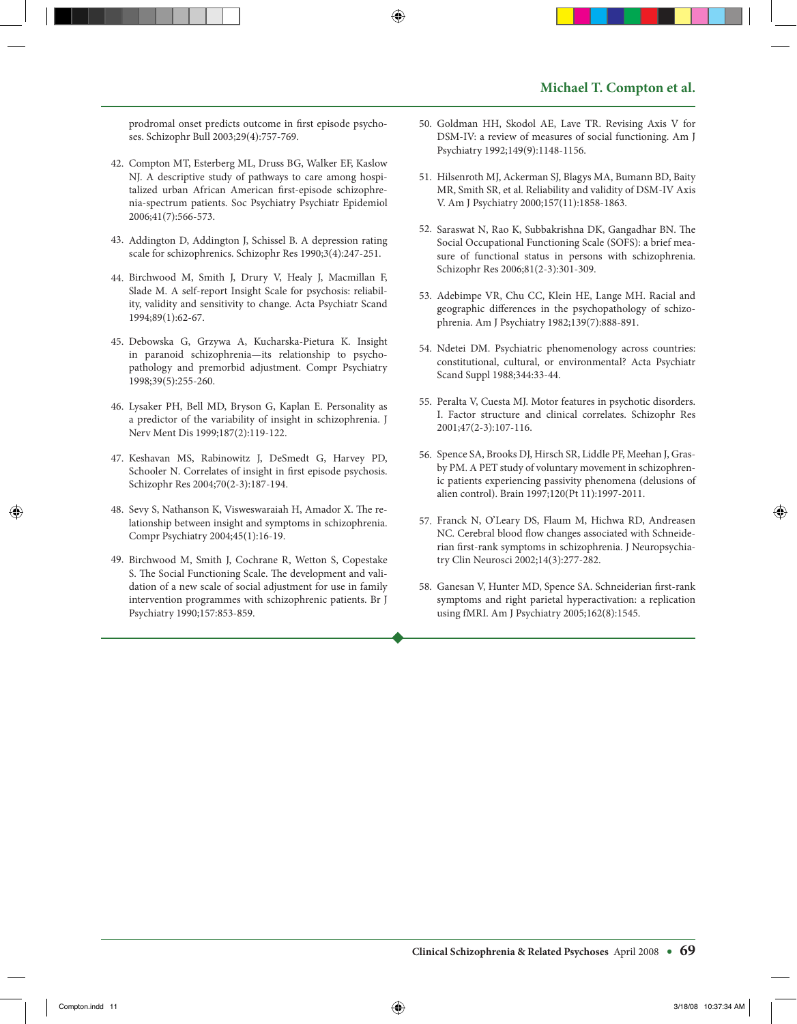prodromal onset predicts outcome in first episode psychoses. Schizophr Bull 2003;29(4):757-769.

- 42. Compton MT, Esterberg ML, Druss BG, Walker EF, Kaslow NJ. A descriptive study of pathways to care among hospitalized urban African American first-episode schizophrenia-spectrum patients. Soc Psychiatry Psychiatr Epidemiol 2006;41(7):566-573.
- Addington D, Addington J, Schissel B. A depression rating 43. scale for schizophrenics. Schizophr Res 1990;3(4):247-251.
- 44. Birchwood M, Smith J, Drury V, Healy J, Macmillan F, Slade M. A self-report Insight Scale for psychosis: reliability, validity and sensitivity to change. Acta Psychiatr Scand 1994;89(1):62-67.
- 45. Debowska G, Grzywa A, Kucharska-Pietura K. Insight in paranoid schizophrenia—its relationship to psychopathology and premorbid adjustment. Compr Psychiatry 1998;39(5):255-260.
- 46. Lysaker PH, Bell MD, Bryson G, Kaplan E. Personality as a predictor of the variability of insight in schizophrenia. J Nerv Ment Dis 1999;187(2):119-122.
- 47. Keshavan MS, Rabinowitz J, DeSmedt G, Harvey PD, Schooler N. Correlates of insight in first episode psychosis. Schizophr Res 2004;70(2-3):187-194.
- 48. Sevy S, Nathanson K, Visweswaraiah H, Amador X. The relationship between insight and symptoms in schizophrenia. Compr Psychiatry 2004;45(1):16-19.
- 49. Birchwood M, Smith J, Cochrane R, Wetton S, Copestake S. The Social Functioning Scale. The development and validation of a new scale of social adjustment for use in family intervention programmes with schizophrenic patients. Br J Psychiatry 1990;157:853-859.
- 50. Goldman HH, Skodol AE, Lave TR. Revising Axis V for DSM-IV: a review of measures of social functioning. Am J Psychiatry 1992;149(9):1148-1156.
- 51. Hilsenroth MJ, Ackerman SJ, Blagys MA, Bumann BD, Baity MR, Smith SR, et al. Reliability and validity of DSM-IV Axis V. Am J Psychiatry 2000;157(11):1858-1863.
- 52. Saraswat N, Rao K, Subbakrishna DK, Gangadhar BN. The Social Occupational Functioning Scale (SOFS): a brief measure of functional status in persons with schizophrenia. Schizophr Res 2006;81(2-3):301-309.
- 53. Adebimpe VR, Chu CC, Klein HE, Lange MH. Racial and geographic differences in the psychopathology of schizophrenia. Am J Psychiatry 1982;139(7):888-891.
- 54. Ndetei DM. Psychiatric phenomenology across countries: constitutional, cultural, or environmental? Acta Psychiatr Scand Suppl 1988;344:33-44.
- 55. Peralta V, Cuesta MJ. Motor features in psychotic disorders. I. Factor structure and clinical correlates. Schizophr Res 2001;47(2-3):107-116.
- 56. Spence SA, Brooks DJ, Hirsch SR, Liddle PF, Meehan J, Grasby PM. A PET study of voluntary movement in schizophrenic patients experiencing passivity phenomena (delusions of alien control). Brain 1997;120(Pt 11):1997-2011.
- Franck N, O'Leary DS, Flaum M, Hichwa RD, Andreasen 57. NC. Cerebral blood flow changes associated with Schneiderian first-rank symptoms in schizophrenia. J Neuropsychiatry Clin Neurosci 2002;14(3):277-282.
- Ganesan V, Hunter MD, Spence SA. Schneiderian first-rank 58. symptoms and right parietal hyperactivation: a replication using fMRI. Am J Psychiatry 2005;162(8):1545.